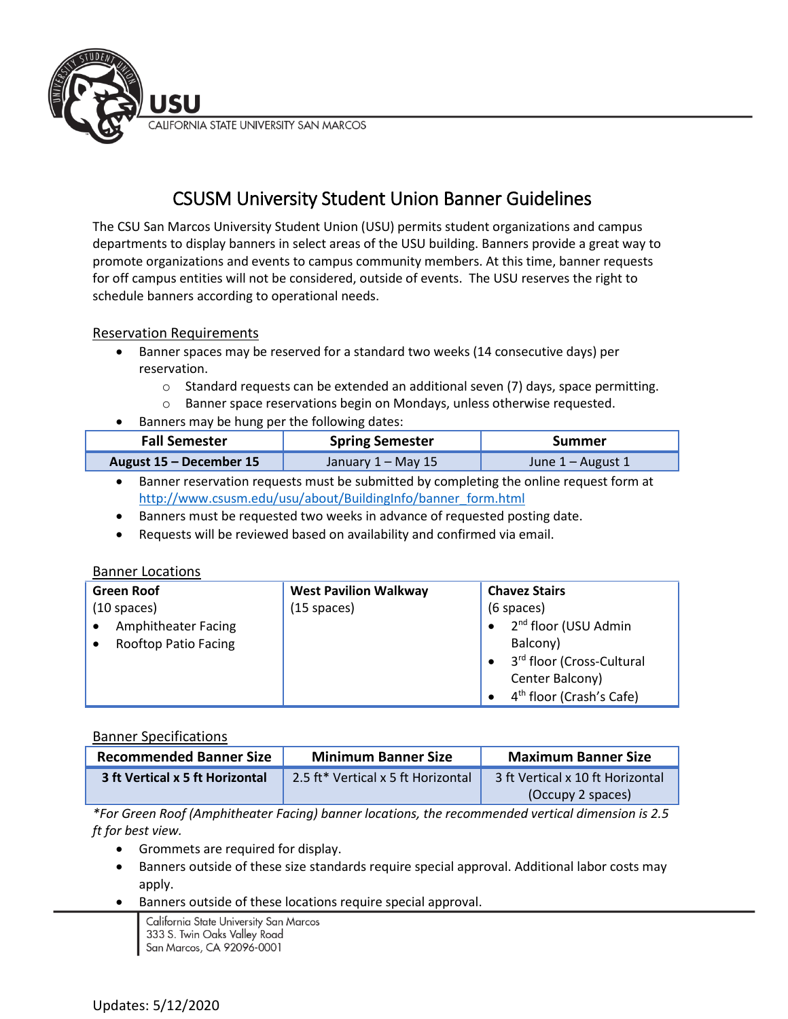CALIFORNIA STATE UNIVERSITY SAN MARCOS

# CSUSM University Student Union Banner Guidelines

The CSU San Marcos University Student Union (USU) permits student organizations and campus departments to display banners in select areas of the USU building. Banners provide a great way to promote organizations and events to campus community members. At this time, banner requests for off campus entities will not be considered, outside of events. The USU reserves the right to schedule banners according to operational needs.

## Reservation Requirements

JSU

- Banner spaces may be reserved for a standard two weeks (14 consecutive days) per reservation.
	- $\circ$  Standard requests can be extended an additional seven (7) days, space permitting.
	- o Banner space reservations begin on Mondays, unless otherwise requested.
- Banners may be hung per the following dates:

| <b>Fall Semester</b>    | <b>Spring Semester</b> | Summer            |
|-------------------------|------------------------|-------------------|
| August 15 - December 15 | January 1 – May 15     | June 1 – August 1 |

- Banner reservation requests must be submitted by completing the online request form at [http://www.csusm.edu/usu/about/BuildingInfo/banner\\_form.html](http://www.csusm.edu/usu/about/BuildingInfo/banner_form.html)
- Banners must be requested two weeks in advance of requested posting date.
- Requests will be reviewed based on availability and confirmed via email.

### Banner Locations

| <b>Green Roof</b>           | <b>West Pavilion Walkway</b> | <b>Chavez Stairs</b>                 |
|-----------------------------|------------------------------|--------------------------------------|
| $(10$ spaces)               | $(15$ spaces)                | $(6$ spaces)                         |
| Amphitheater Facing         |                              | 2 <sup>nd</sup> floor (USU Admin     |
| <b>Rooftop Patio Facing</b> |                              | Balcony)                             |
|                             |                              | 3rd floor (Cross-Cultural            |
|                             |                              | Center Balcony)                      |
|                             |                              | 4 <sup>th</sup> floor (Crash's Cafe) |

## Banner Specifications

| <b>Recommended Banner Size</b>  | <b>Minimum Banner Size</b>         | <b>Maximum Banner Size</b>       |
|---------------------------------|------------------------------------|----------------------------------|
| 3 ft Vertical x 5 ft Horizontal | 2.5 ft* Vertical x 5 ft Horizontal | 3 ft Vertical x 10 ft Horizontal |
|                                 |                                    | (Occupy 2 spaces)                |

*\*For Green Roof (Amphitheater Facing) banner locations, the recommended vertical dimension is 2.5 ft for best view.*

- Grommets are required for display.
- Banners outside of these size standards require special approval. Additional labor costs may apply.
- Banners outside of these locations require special approval.

California State University San Marcos 333 S. Twin Oaks Valley Road San Marcos, CA 92096-0001